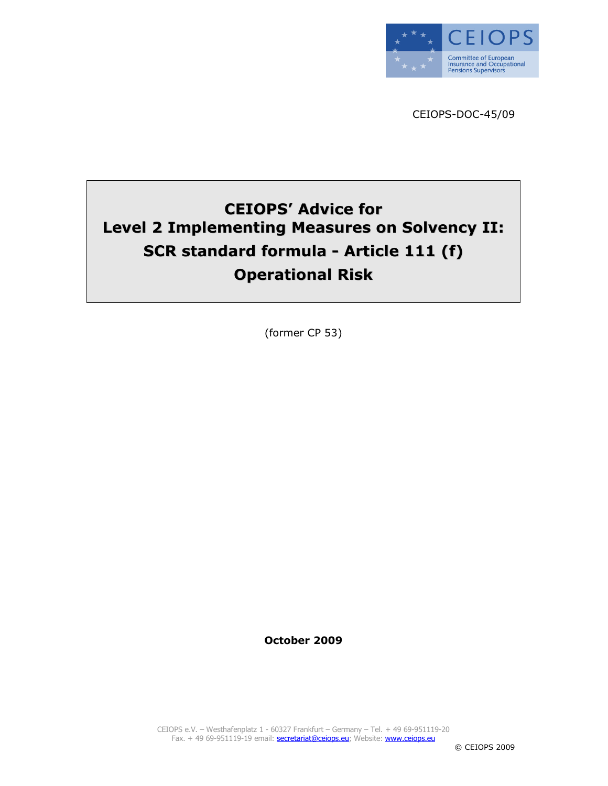

CEIOPS-DOC-45/09

# CEIOPS' Advice for Level 2 Implementing Measures on Solvency II: SCR standard formula - Article 111 (f) Operational Risk

(former CP 53)

October 2009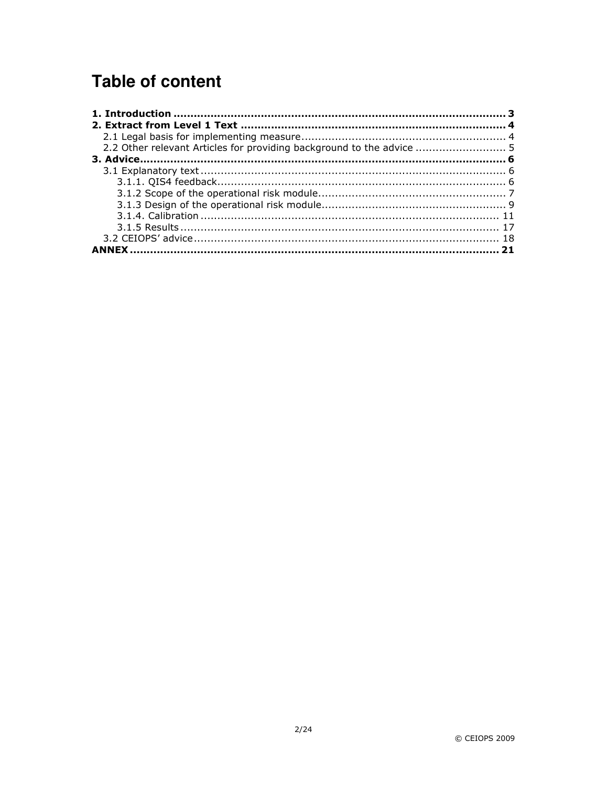# **Table of content**

| 2.2 Other relevant Articles for providing background to the advice  5 |  |
|-----------------------------------------------------------------------|--|
|                                                                       |  |
|                                                                       |  |
|                                                                       |  |
|                                                                       |  |
|                                                                       |  |
|                                                                       |  |
|                                                                       |  |
|                                                                       |  |
|                                                                       |  |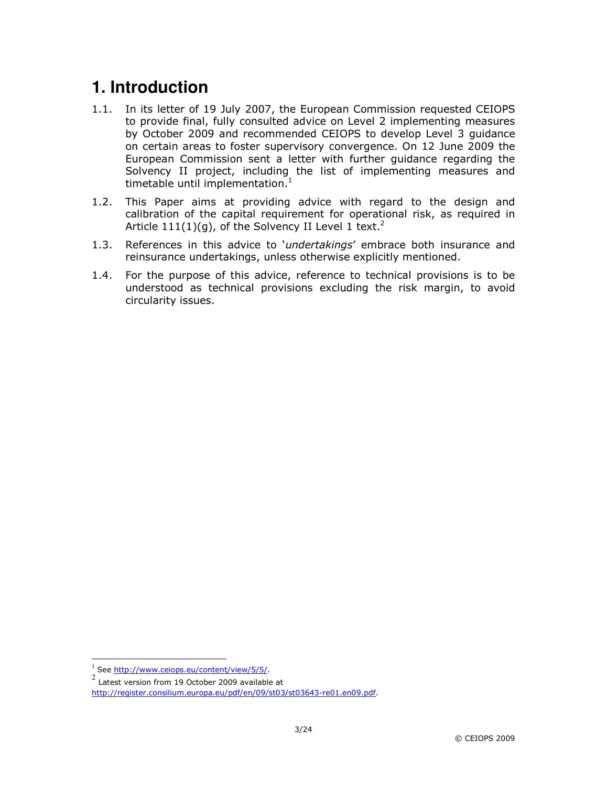# **1. Introduction**

- 1.1. In its letter of 19 July 2007, the European Commission requested CEIOPS to provide final, fully consulted advice on Level 2 implementing measures by October 2009 and recommended CEIOPS to develop Level 3 guidance on certain areas to foster supervisory convergence. On 12 June 2009 the European Commission sent a letter with further guidance regarding the Solvency II project, including the list of implementing measures and timetable until implementation. $<sup>1</sup>$ </sup>
- 1.2. This Paper aims at providing advice with regard to the design and calibration of the capital requirement for operational risk, as required in Article  $111(1)(q)$ , of the Solvency II Level 1 text.<sup>2</sup>
- 1.3. References in this advice to 'undertakings' embrace both insurance and reinsurance undertakings, unless otherwise explicitly mentioned.
- 1.4. For the purpose of this advice, reference to technical provisions is to be understood as technical provisions excluding the risk margin, to avoid circularity issues.

 $\overline{a}$ 

<sup>1</sup> See http://www.ceiops.eu/content/view/5/5/.

<sup>2</sup> Latest version from 19 October 2009 available at http://register.consilium.europa.eu/pdf/en/09/st03/st03643-re01.en09.pdf.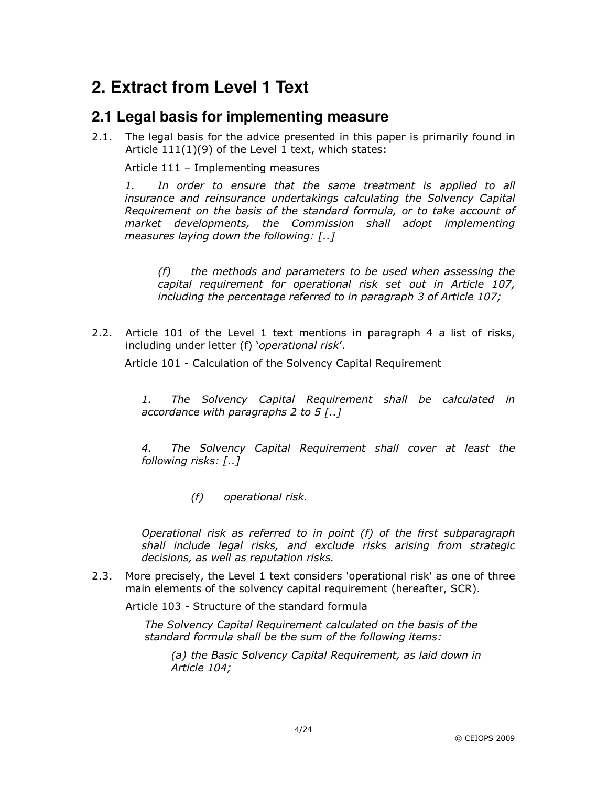# **2. Extract from Level 1 Text**

### **2.1 Legal basis for implementing measure**

2.1. The legal basis for the advice presented in this paper is primarily found in Article 111(1)(9) of the Level 1 text, which states:

Article 111 – Implementing measures

1. In order to ensure that the same treatment is applied to all insurance and reinsurance undertakings calculating the Solvency Capital Requirement on the basis of the standard formula, or to take account of market developments, the Commission shall adopt implementing measures laying down the following: [..]

(f) the methods and parameters to be used when assessing the capital requirement for operational risk set out in Article 107, including the percentage referred to in paragraph 3 of Article 107;

2.2. Article 101 of the Level 1 text mentions in paragraph 4 a list of risks, including under letter (f) 'operational risk'.

Article 101 - Calculation of the Solvency Capital Requirement

1. The Solvency Capital Requirement shall be calculated in accordance with paragraphs 2 to 5 [..]

4. The Solvency Capital Requirement shall cover at least the following risks: [..]

(f) operational risk.

Operational risk as referred to in point  $(f)$  of the first subparagraph shall include legal risks, and exclude risks arising from strategic decisions, as well as reputation risks.

2.3. More precisely, the Level 1 text considers 'operational risk' as one of three main elements of the solvency capital requirement (hereafter, SCR).

Article 103 - Structure of the standard formula

The Solvency Capital Requirement calculated on the basis of the standard formula shall be the sum of the following items:

(a) the Basic Solvency Capital Requirement, as laid down in Article 104;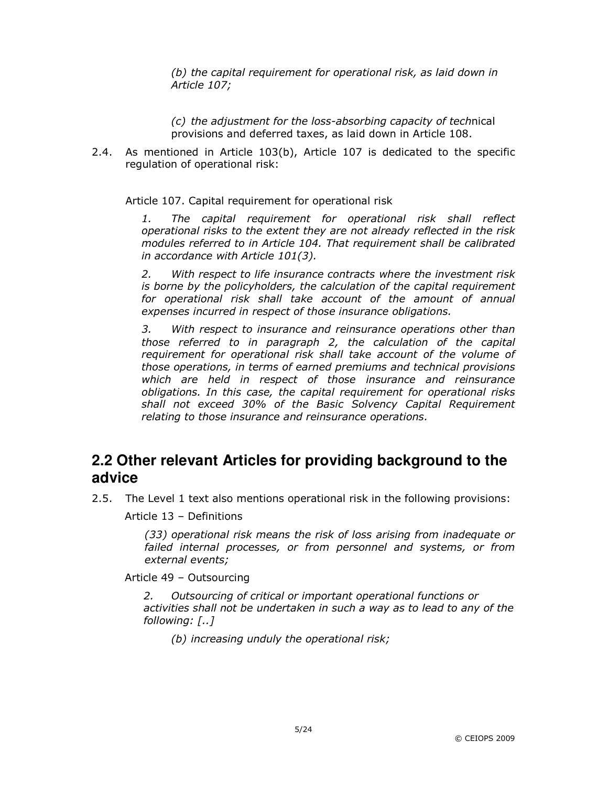(b) the capital requirement for operational risk, as laid down in Article 107;

(c) the adjustment for the loss-absorbing capacity of technical provisions and deferred taxes, as laid down in Article 108.

2.4. As mentioned in Article 103(b), Article 107 is dedicated to the specific regulation of operational risk:

Article 107. Capital requirement for operational risk

1. The capital requirement for operational risk shall reflect operational risks to the extent they are not already reflected in the risk modules referred to in Article 104. That requirement shall be calibrated in accordance with Article 101(3).

2. With respect to life insurance contracts where the investment risk is borne by the policyholders, the calculation of the capital requirement for operational risk shall take account of the amount of annual expenses incurred in respect of those insurance obligations.

3. With respect to insurance and reinsurance operations other than those referred to in paragraph 2, the calculation of the capital requirement for operational risk shall take account of the volume of those operations, in terms of earned premiums and technical provisions which are held in respect of those insurance and reinsurance obligations. In this case, the capital requirement for operational risks shall not exceed 30% of the Basic Solvency Capital Requirement relating to those insurance and reinsurance operations.

## **2.2 Other relevant Articles for providing background to the advice**

2.5. The Level 1 text also mentions operational risk in the following provisions:

Article 13 – Definitions

(33) operational risk means the risk of loss arising from inadequate or failed internal processes, or from personnel and systems, or from external events;

Article 49 – Outsourcing

2. Outsourcing of critical or important operational functions or activities shall not be undertaken in such a way as to lead to any of the following: [..]

(b) increasing unduly the operational risk;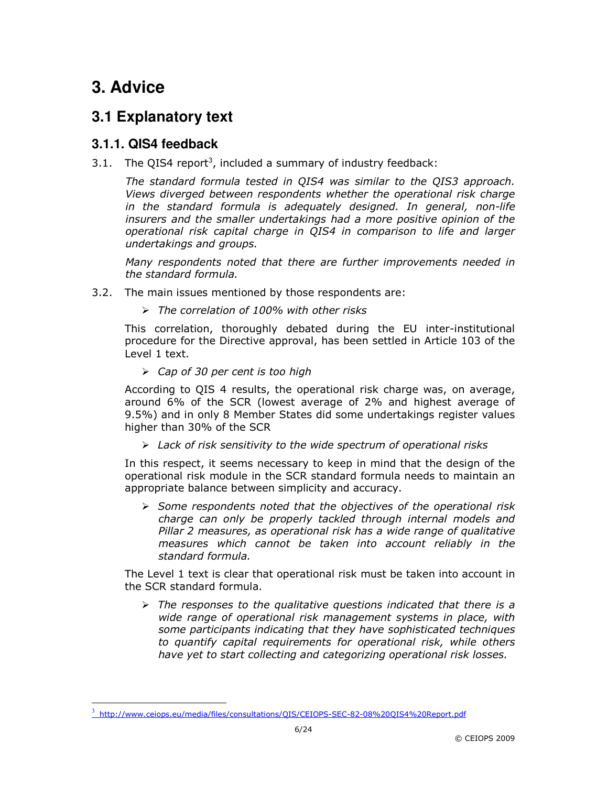## **3. Advice**

 $\overline{a}$ 

## **3.1 Explanatory text**

### **3.1.1. QIS4 feedback**

3.1. The QIS4 report<sup>3</sup>, included a summary of industry feedback:

The standard formula tested in QIS4 was similar to the QIS3 approach. Views diverged between respondents whether the operational risk charge in the standard formula is adequately designed. In general, non-life insurers and the smaller undertakings had a more positive opinion of the operational risk capital charge in QIS4 in comparison to life and larger undertakings and groups.

Many respondents noted that there are further improvements needed in the standard formula.

- 3.2. The main issues mentioned by those respondents are:
	- $\triangleright$  The correlation of 100% with other risks

This correlation, thoroughly debated during the EU inter-institutional procedure for the Directive approval, has been settled in Article 103 of the Level 1 text.

 $\triangleright$  Cap of 30 per cent is too high

According to QIS 4 results, the operational risk charge was, on average, around 6% of the SCR (lowest average of 2% and highest average of 9.5%) and in only 8 Member States did some undertakings register values higher than 30% of the SCR

 $\triangleright$  Lack of risk sensitivity to the wide spectrum of operational risks

In this respect, it seems necessary to keep in mind that the design of the operational risk module in the SCR standard formula needs to maintain an appropriate balance between simplicity and accuracy.

 $\triangleright$  Some respondents noted that the objectives of the operational risk charge can only be properly tackled through internal models and Pillar 2 measures, as operational risk has a wide range of qualitative measures which cannot be taken into account reliably in the standard formula.

The Level 1 text is clear that operational risk must be taken into account in the SCR standard formula.

 $\triangleright$  The responses to the qualitative questions indicated that there is a wide range of operational risk management systems in place, with some participants indicating that they have sophisticated techniques to quantify capital requirements for operational risk, while others have yet to start collecting and categorizing operational risk losses.

<sup>3</sup> http://www.ceiops.eu/media/files/consultations/QIS/CEIOPS-SEC-82-08%20QIS4%20Report.pdf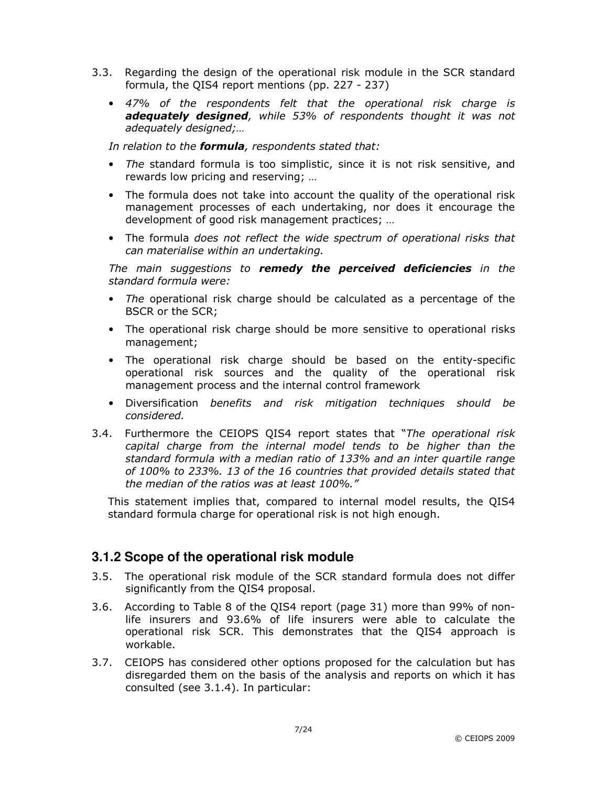- 3.3. Regarding the design of the operational risk module in the SCR standard formula, the QIS4 report mentions (pp. 227 - 237)
	- 47% of the respondents felt that the operational risk charge is adequately designed, while 53% of respondents thought it was not adequately designed;…

In relation to the formula, respondents stated that:

- The standard formula is too simplistic, since it is not risk sensitive, and rewards low pricing and reserving; …
- The formula does not take into account the quality of the operational risk management processes of each undertaking, nor does it encourage the development of good risk management practices; …
- The formula does not reflect the wide spectrum of operational risks that can materialise within an undertaking.

The main suggestions to remedy the perceived deficiencies in the standard formula were:

- The operational risk charge should be calculated as a percentage of the BSCR or the SCR;
- The operational risk charge should be more sensitive to operational risks management;
- The operational risk charge should be based on the entity-specific operational risk sources and the quality of the operational risk management process and the internal control framework
- Diversification benefits and risk mitigation techniques should be considered.
- 3.4. Furthermore the CEIOPS QIS4 report states that "The operational risk capital charge from the internal model tends to be higher than the standard formula with a median ratio of 133% and an inter quartile range of 100% to 233%. 13 of the 16 countries that provided details stated that the median of the ratios was at least 100%."

This statement implies that, compared to internal model results, the QIS4 standard formula charge for operational risk is not high enough.

#### **3.1.2 Scope of the operational risk module**

- 3.5. The operational risk module of the SCR standard formula does not differ significantly from the QIS4 proposal.
- 3.6. According to Table 8 of the QIS4 report (page 31) more than 99% of nonlife insurers and 93.6% of life insurers were able to calculate the operational risk SCR. This demonstrates that the QIS4 approach is workable.
- 3.7. CEIOPS has considered other options proposed for the calculation but has disregarded them on the basis of the analysis and reports on which it has consulted (see 3.1.4). In particular: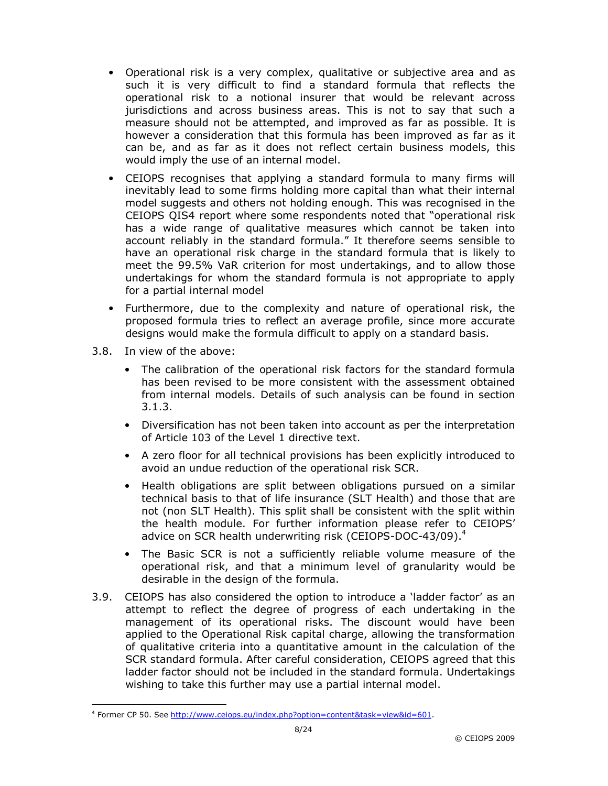- Operational risk is a very complex, qualitative or subjective area and as such it is very difficult to find a standard formula that reflects the operational risk to a notional insurer that would be relevant across jurisdictions and across business areas. This is not to say that such a measure should not be attempted, and improved as far as possible. It is however a consideration that this formula has been improved as far as it can be, and as far as it does not reflect certain business models, this would imply the use of an internal model.
- CEIOPS recognises that applying a standard formula to many firms will inevitably lead to some firms holding more capital than what their internal model suggests and others not holding enough. This was recognised in the CEIOPS QIS4 report where some respondents noted that "operational risk has a wide range of qualitative measures which cannot be taken into account reliably in the standard formula." It therefore seems sensible to have an operational risk charge in the standard formula that is likely to meet the 99.5% VaR criterion for most undertakings, and to allow those undertakings for whom the standard formula is not appropriate to apply for a partial internal model
- Furthermore, due to the complexity and nature of operational risk, the proposed formula tries to reflect an average profile, since more accurate designs would make the formula difficult to apply on a standard basis.
- 3.8. In view of the above:

-

- The calibration of the operational risk factors for the standard formula has been revised to be more consistent with the assessment obtained from internal models. Details of such analysis can be found in section 3.1.3.
- Diversification has not been taken into account as per the interpretation of Article 103 of the Level 1 directive text.
- A zero floor for all technical provisions has been explicitly introduced to avoid an undue reduction of the operational risk SCR.
- Health obligations are split between obligations pursued on a similar technical basis to that of life insurance (SLT Health) and those that are not (non SLT Health). This split shall be consistent with the split within the health module. For further information please refer to CEIOPS' advice on SCR health underwriting risk (CEIOPS-DOC-43/09).<sup>4</sup>
- The Basic SCR is not a sufficiently reliable volume measure of the operational risk, and that a minimum level of granularity would be desirable in the design of the formula.
- 3.9. CEIOPS has also considered the option to introduce a 'ladder factor' as an attempt to reflect the degree of progress of each undertaking in the management of its operational risks. The discount would have been applied to the Operational Risk capital charge, allowing the transformation of qualitative criteria into a quantitative amount in the calculation of the SCR standard formula. After careful consideration, CEIOPS agreed that this ladder factor should not be included in the standard formula. Undertakings wishing to take this further may use a partial internal model.

<sup>&</sup>lt;sup>4</sup> Former CP 50. See http://www.ceiops.eu/index.php?option=content&task=view&id=601.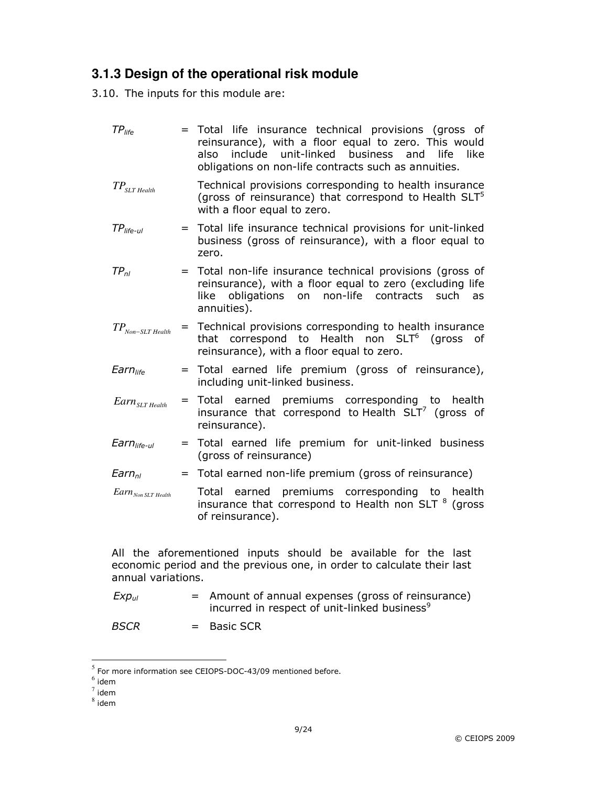## **3.1.3 Design of the operational risk module**

3.10. The inputs for this module are:

| $TP_{life}$                                 | = Total life insurance technical provisions (gross of<br>reinsurance), with a floor equal to zero. This would<br>include unit-linked business<br>and<br>also<br>life<br>like<br>obligations on non-life contracts such as annuities. |
|---------------------------------------------|--------------------------------------------------------------------------------------------------------------------------------------------------------------------------------------------------------------------------------------|
| $\mathit{TP}_{\mathit{SLT}\mathit{Health}}$ | Technical provisions corresponding to health insurance<br>(gross of reinsurance) that correspond to Health SLT <sup>5</sup><br>with a floor equal to zero.                                                                           |
| $TP$ <sub>life-ul</sub>                     | = Total life insurance technical provisions for unit-linked<br>business (gross of reinsurance), with a floor equal to<br>zero.                                                                                                       |
| $TP_{nl}$                                   | = Total non-life insurance technical provisions (gross of<br>reinsurance), with a floor equal to zero (excluding life<br>non-life<br>obligations<br>on<br>contracts<br>such<br>like<br><b>as</b><br>annuities).                      |
| $TP_{Non-SLT\,Health}$                      | = Technical provisions corresponding to health insurance<br>that correspond to Health non SLT <sup>6</sup> (gross<br>of<br>reinsurance), with a floor equal to zero.                                                                 |
| Earn <sub>life</sub>                        | = Total earned life premium (gross of reinsurance),<br>including unit-linked business.                                                                                                                                               |
| $Earn_{SLT\,Health}$                        | = Total earned premiums corresponding to<br>health<br>insurance that correspond to Health $SLT7$ (gross of<br>reinsurance).                                                                                                          |
| $Earnlife-ul$                               | = Total earned life premium for unit-linked business<br>(gross of reinsurance)                                                                                                                                                       |
| Earn <sub>nl</sub>                          | = Total earned non-life premium (gross of reinsurance)                                                                                                                                                                               |
| $Earn_{Non SLT Health}$                     | Total earned premiums corresponding to health<br>insurance that correspond to Health non SLT <sup>8</sup> (gross<br>of reinsurance).                                                                                                 |
| annual variations.                          | All the aforementioned inputs should be available for the last<br>economic period and the previous one, in order to calculate their last                                                                                             |

 $Exp_{ul}$  = Amount of annual expenses (gross of reinsurance) incurred in respect of unit-linked business $^9$ 

 $BSCR$  = Basic SCR

 $\overline{a}$ 

 $<sup>5</sup>$  For more information see CEIOPS-DOC-43/09 mentioned before.</sup>

 $<sup>6</sup>$  idem</sup>

 $^7$  idem

 $^8$  idem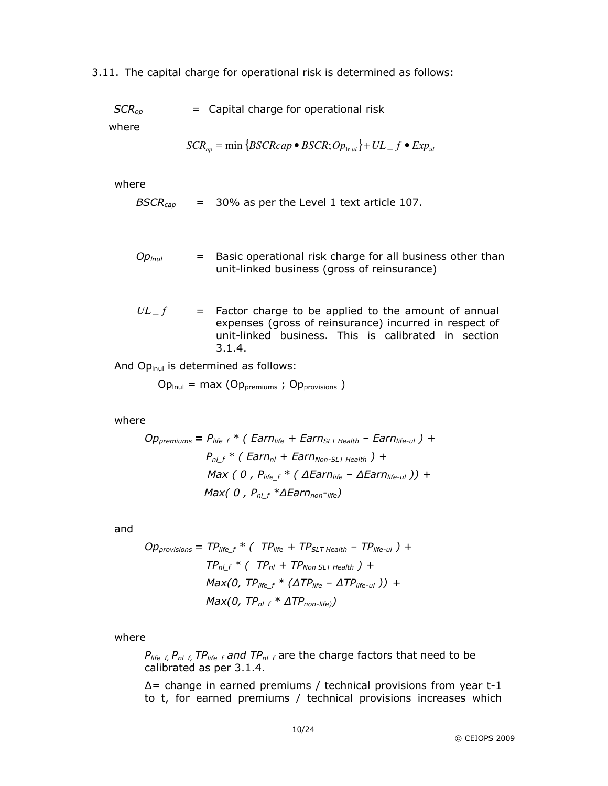3.11. The capital charge for operational risk is determined as follows:

| $SCR_{op}$ | = Capital charge for operational risk |  |
|------------|---------------------------------------|--|
|------------|---------------------------------------|--|

where

$$
SCR_{op} = \min \{BSCRcap \bullet BSCR; Op_{lnul}\} + UL\_f \bullet Exp_{ul}
$$

where

$$
BSCR_{cap} = 30\% \text{ as per the Level 1 text article 107.}
$$

- $Op_{\text{hul}}$  = Basic operational risk charge for all business other than unit-linked business (gross of reinsurance)
- $UL_f$  = Factor charge to be applied to the amount of annual expenses (gross of reinsurance) incurred in respect of unit-linked business. This is calibrated in section 3.1.4.

And  $Op_{\text{inul}}$  is determined as follows:

 $Op_{\text{Inul}} = \text{max} (Op_{\text{premiums}}; Op_{\text{provisions}})$ 

where

$$
Op_{premiums} = P_{life\_f} * (Earn_{life} + Earn_{SLT Health} - Earn_{life-ul}) +
$$
  
\n
$$
P_{nl\_f} * (Earn_{nl} + Earn_{Non-SLT Health}) +
$$
  
\n
$$
Max (0, P_{life\_f} * (Earn_{life} - \Delta Earn_{life-ul})) +
$$
  
\n
$$
Max (0, P_{nl\_f} * \Delta Earn_{non-life})
$$

and

$$
Opprovisions = TPlife_f * ( TPlife + TPSLT Health - TPlife-ul) +TPnl_f * ( TPnl + TPNon SLT Health) +Max(0, TPlife_f * (ΔTPlife - ΔTPlife-ul)) +Max(0, TPnl_f * ΔTPnon-life))
$$

where

 $P_{life\ f,} P_{nl\ f,} T P_{life\ f}$  and  $TP_{nl\ f}$  are the charge factors that need to be calibrated as per 3.1.4.

∆= change in earned premiums / technical provisions from year t-1 to t, for earned premiums / technical provisions increases which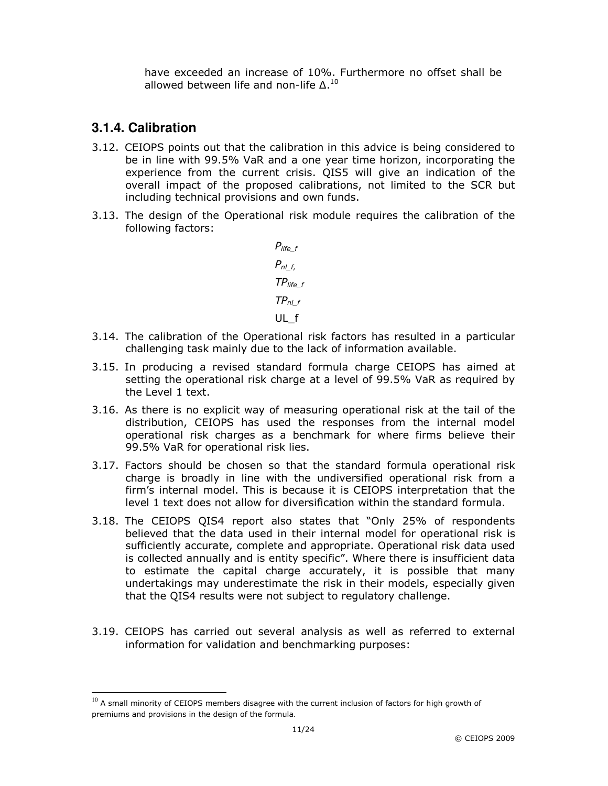have exceeded an increase of 10%. Furthermore no offset shall be allowed between life and non-life  $\Delta$ .<sup>10</sup>

### **3.1.4. Calibration**

-

- 3.12. CEIOPS points out that the calibration in this advice is being considered to be in line with 99.5% VaR and a one year time horizon, incorporating the experience from the current crisis. QIS5 will give an indication of the overall impact of the proposed calibrations, not limited to the SCR but including technical provisions and own funds.
- 3.13. The design of the Operational risk module requires the calibration of the following factors:

$$
P_{life\_f}
$$
  
\n
$$
P_{nl\_f}
$$
  
\n
$$
TP_{life\_f}
$$
  
\n
$$
TP_{nl\_f}
$$
  
\n
$$
UL_f
$$

- 3.14. The calibration of the Operational risk factors has resulted in a particular challenging task mainly due to the lack of information available.
- 3.15. In producing a revised standard formula charge CEIOPS has aimed at setting the operational risk charge at a level of 99.5% VaR as required by the Level 1 text.
- 3.16. As there is no explicit way of measuring operational risk at the tail of the distribution, CEIOPS has used the responses from the internal model operational risk charges as a benchmark for where firms believe their 99.5% VaR for operational risk lies.
- 3.17. Factors should be chosen so that the standard formula operational risk charge is broadly in line with the undiversified operational risk from a firm's internal model. This is because it is CEIOPS interpretation that the level 1 text does not allow for diversification within the standard formula.
- 3.18. The CEIOPS QIS4 report also states that "Only 25% of respondents believed that the data used in their internal model for operational risk is sufficiently accurate, complete and appropriate. Operational risk data used is collected annually and is entity specific". Where there is insufficient data to estimate the capital charge accurately, it is possible that many undertakings may underestimate the risk in their models, especially given that the QIS4 results were not subject to regulatory challenge.
- 3.19. CEIOPS has carried out several analysis as well as referred to external information for validation and benchmarking purposes:

 $10$  A small minority of CEIOPS members disagree with the current inclusion of factors for high growth of premiums and provisions in the design of the formula.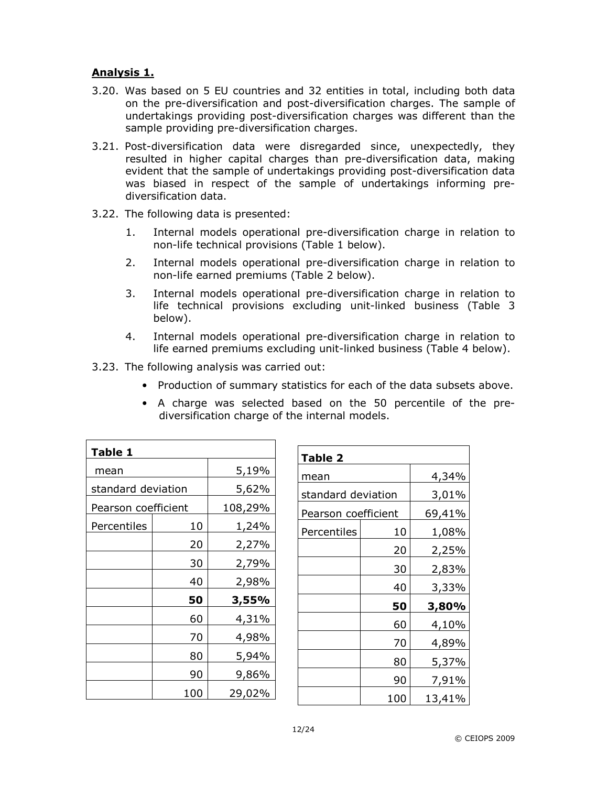#### Analysis 1.

- 3.20. Was based on 5 EU countries and 32 entities in total, including both data on the pre-diversification and post-diversification charges. The sample of undertakings providing post-diversification charges was different than the sample providing pre-diversification charges.
- 3.21. Post-diversification data were disregarded since, unexpectedly, they resulted in higher capital charges than pre-diversification data, making evident that the sample of undertakings providing post-diversification data was biased in respect of the sample of undertakings informing prediversification data.
- 3.22. The following data is presented:
	- 1. Internal models operational pre-diversification charge in relation to non-life technical provisions (Table 1 below).
	- 2. Internal models operational pre-diversification charge in relation to non-life earned premiums (Table 2 below).
	- 3. Internal models operational pre-diversification charge in relation to life technical provisions excluding unit-linked business (Table 3 below).
	- 4. Internal models operational pre-diversification charge in relation to life earned premiums excluding unit-linked business (Table 4 below).
- 3.23. The following analysis was carried out:
	- Production of summary statistics for each of the data subsets above.
	- A charge was selected based on the 50 percentile of the prediversification charge of the internal models.

| Table 1             |       |         |  |  |
|---------------------|-------|---------|--|--|
| mean                | 5,19% |         |  |  |
| standard deviation  |       | 5,62%   |  |  |
| Pearson coefficient |       | 108,29% |  |  |
| Percentiles         | 10    | 1,24%   |  |  |
|                     | 20    | 2,27%   |  |  |
|                     | 30    | 2,79%   |  |  |
|                     | 40    | 2,98%   |  |  |
|                     | 50    | 3,55%   |  |  |
|                     | 60    | 4,31%   |  |  |
|                     | 70    | 4,98%   |  |  |
|                     | 80    | 5,94%   |  |  |
|                     | 90    |         |  |  |
|                     | 100   | 29,02%  |  |  |

| Table 2             |     |        |  |  |
|---------------------|-----|--------|--|--|
| mean                |     |        |  |  |
| standard deviation  |     | 3,01%  |  |  |
| Pearson coefficient |     | 69,41% |  |  |
| Percentiles         | 10  | 1,08%  |  |  |
|                     | 20  | 2,25%  |  |  |
|                     | 30  | 2,83%  |  |  |
|                     | 40  |        |  |  |
|                     | 50  | 3,80%  |  |  |
|                     | 60  | 4,10%  |  |  |
|                     | 70  | 4,89%  |  |  |
|                     | 80  | 5,37%  |  |  |
|                     | 90  | 7,91%  |  |  |
|                     | 100 | 13,41% |  |  |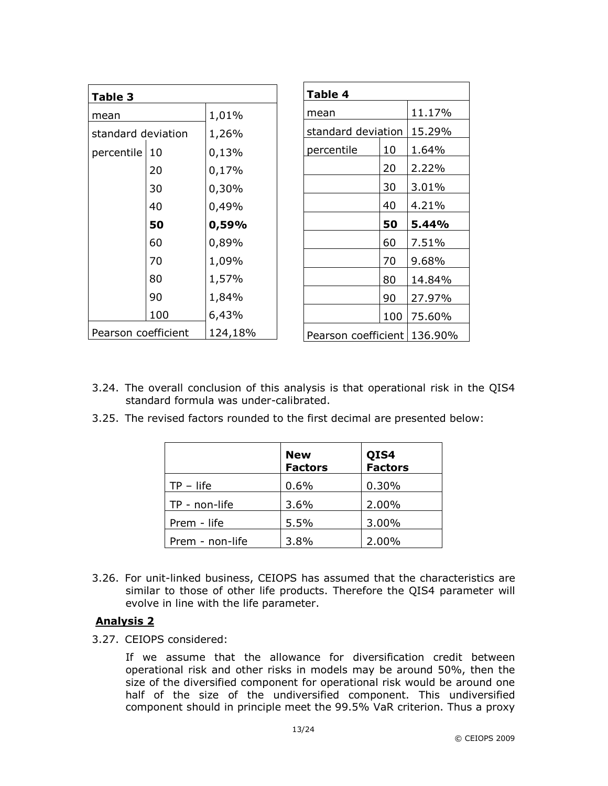| Table 3             |     |         |  |  |
|---------------------|-----|---------|--|--|
| mean                |     | 1,01%   |  |  |
| standard deviation  |     | 1,26%   |  |  |
| percentile          | 10  | 0,13%   |  |  |
|                     | 20  | 0,17%   |  |  |
|                     | 30  | 0,30%   |  |  |
| 40                  |     | 0,49%   |  |  |
|                     | 50  | 0,59%   |  |  |
|                     | 60  | 0,89%   |  |  |
|                     | 70  | 1,09%   |  |  |
|                     | 80  | 1,57%   |  |  |
|                     | 90  | 1,84%   |  |  |
|                     | 100 | 6,43%   |  |  |
| Pearson coefficient |     | 124,18% |  |  |

| Table 4    |                    |        |  |  |
|------------|--------------------|--------|--|--|
| mean       | 11.17%             |        |  |  |
|            | standard deviation |        |  |  |
| percentile | 10                 | 1.64%  |  |  |
|            | 20                 | 2.22%  |  |  |
|            | 30                 | 3.01%  |  |  |
|            | 40                 | 4.21%  |  |  |
|            |                    |        |  |  |
|            | 50                 | 5.44%  |  |  |
|            | 60                 | 7.51%  |  |  |
|            | 70                 | 9.68%  |  |  |
|            | 80                 | 14.84% |  |  |
|            | 90                 | 27.97% |  |  |
|            | 100                | 75.60% |  |  |

- 3.24. The overall conclusion of this analysis is that operational risk in the QIS4 standard formula was under-calibrated.
- 3.25. The revised factors rounded to the first decimal are presented below:

|                 | <b>New</b><br><b>Factors</b> | QIS4<br>Factors |
|-----------------|------------------------------|-----------------|
| $TP - life$     | 0.6%                         | 0.30%           |
| TP - non-life   | 3.6%                         | 2.00%           |
| Prem - life     | 5.5%                         | 3.00%           |
| Prem - non-life | 3.8%                         | 2.00%           |

3.26. For unit-linked business, CEIOPS has assumed that the characteristics are similar to those of other life products. Therefore the QIS4 parameter will evolve in line with the life parameter.

#### Analysis 2

3.27. CEIOPS considered:

If we assume that the allowance for diversification credit between operational risk and other risks in models may be around 50%, then the size of the diversified component for operational risk would be around one half of the size of the undiversified component. This undiversified component should in principle meet the 99.5% VaR criterion. Thus a proxy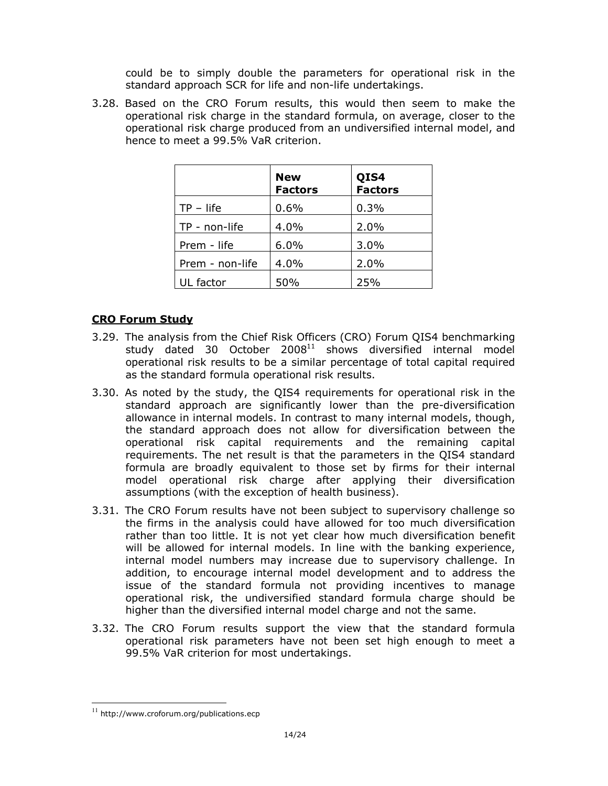could be to simply double the parameters for operational risk in the standard approach SCR for life and non-life undertakings.

3.28. Based on the CRO Forum results, this would then seem to make the operational risk charge in the standard formula, on average, closer to the operational risk charge produced from an undiversified internal model, and hence to meet a 99.5% VaR criterion.

|                 | <b>New</b><br><b>Factors</b> | QIS4<br><b>Factors</b> |
|-----------------|------------------------------|------------------------|
| $TP - life$     | 0.6%                         | 0.3%                   |
| TP - non-life   | 4.0%                         | 2.0%                   |
| Prem - life     | 6.0%                         | 3.0%                   |
| Prem - non-life | 4.0%                         | 2.0%                   |
| UL factor       | 50%                          | 25%                    |

#### CRO Forum Study

- 3.29. The analysis from the Chief Risk Officers (CRO) Forum QIS4 benchmarking study dated 30 October  $2008^{11}$  shows diversified internal model operational risk results to be a similar percentage of total capital required as the standard formula operational risk results.
- 3.30. As noted by the study, the QIS4 requirements for operational risk in the standard approach are significantly lower than the pre-diversification allowance in internal models. In contrast to many internal models, though, the standard approach does not allow for diversification between the operational risk capital requirements and the remaining capital requirements. The net result is that the parameters in the QIS4 standard formula are broadly equivalent to those set by firms for their internal model operational risk charge after applying their diversification assumptions (with the exception of health business).
- 3.31. The CRO Forum results have not been subject to supervisory challenge so the firms in the analysis could have allowed for too much diversification rather than too little. It is not yet clear how much diversification benefit will be allowed for internal models. In line with the banking experience, internal model numbers may increase due to supervisory challenge. In addition, to encourage internal model development and to address the issue of the standard formula not providing incentives to manage operational risk, the undiversified standard formula charge should be higher than the diversified internal model charge and not the same.
- 3.32. The CRO Forum results support the view that the standard formula operational risk parameters have not been set high enough to meet a 99.5% VaR criterion for most undertakings.

 $\overline{a}$ 

<sup>11</sup> http://www.croforum.org/publications.ecp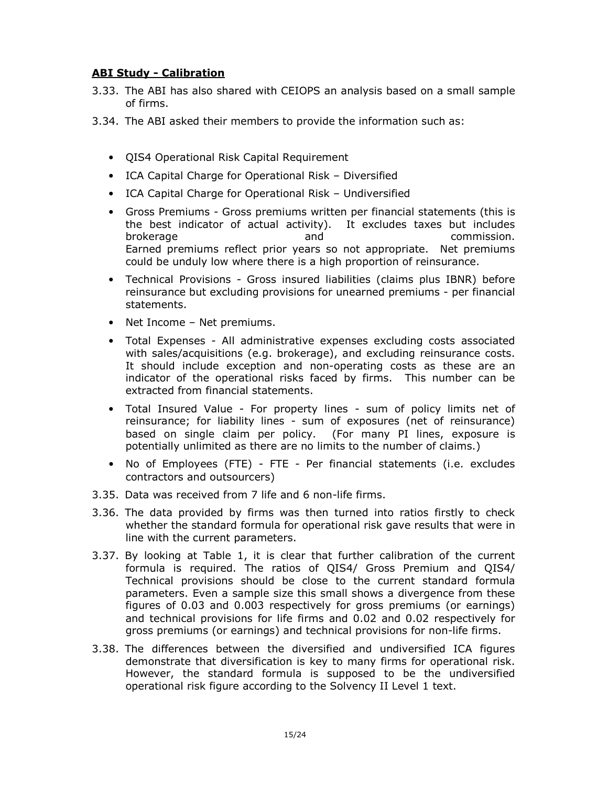#### ABI Study - Calibration

- 3.33. The ABI has also shared with CEIOPS an analysis based on a small sample of firms.
- 3.34. The ABI asked their members to provide the information such as:
	- QIS4 Operational Risk Capital Requirement
	- ICA Capital Charge for Operational Risk Diversified
	- ICA Capital Charge for Operational Risk Undiversified
	- Gross Premiums Gross premiums written per financial statements (this is the best indicator of actual activity). It excludes taxes but includes brokerage and commission. Earned premiums reflect prior years so not appropriate. Net premiums could be unduly low where there is a high proportion of reinsurance.
	- Technical Provisions Gross insured liabilities (claims plus IBNR) before reinsurance but excluding provisions for unearned premiums - per financial statements.
	- Net Income Net premiums.
	- Total Expenses All administrative expenses excluding costs associated with sales/acquisitions (e.g. brokerage), and excluding reinsurance costs. It should include exception and non-operating costs as these are an indicator of the operational risks faced by firms. This number can be extracted from financial statements.
	- Total Insured Value For property lines sum of policy limits net of reinsurance; for liability lines - sum of exposures (net of reinsurance) based on single claim per policy. (For many PI lines, exposure is potentially unlimited as there are no limits to the number of claims.)
	- No of Employees (FTE) FTE Per financial statements (i.e. excludes contractors and outsourcers)
- 3.35. Data was received from 7 life and 6 non-life firms.
- 3.36. The data provided by firms was then turned into ratios firstly to check whether the standard formula for operational risk gave results that were in line with the current parameters.
- 3.37. By looking at Table 1, it is clear that further calibration of the current formula is required. The ratios of QIS4/ Gross Premium and QIS4/ Technical provisions should be close to the current standard formula parameters. Even a sample size this small shows a divergence from these figures of 0.03 and 0.003 respectively for gross premiums (or earnings) and technical provisions for life firms and 0.02 and 0.02 respectively for gross premiums (or earnings) and technical provisions for non-life firms.
- 3.38. The differences between the diversified and undiversified ICA figures demonstrate that diversification is key to many firms for operational risk. However, the standard formula is supposed to be the undiversified operational risk figure according to the Solvency II Level 1 text.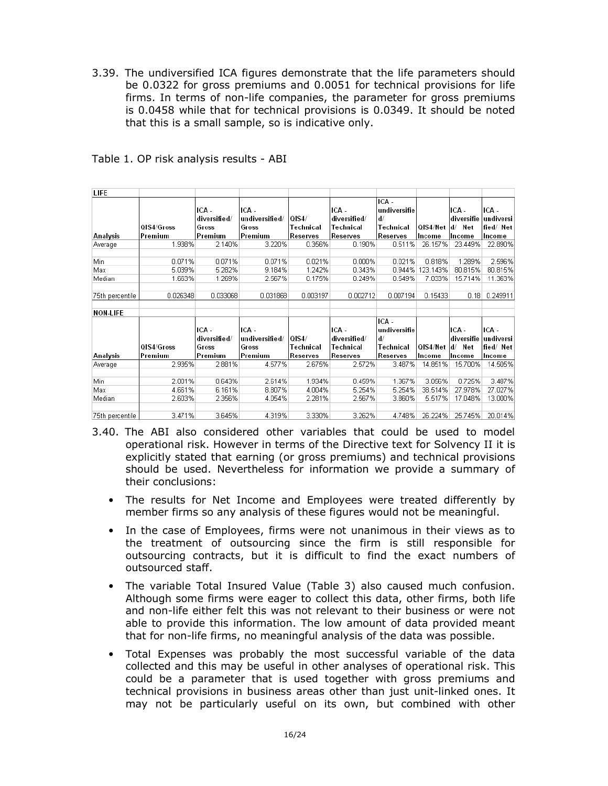3.39. The undiversified ICA figures demonstrate that the life parameters should be 0.0322 for gross premiums and 0.0051 for technical provisions for life firms. In terms of non-life companies, the parameter for gross premiums is 0.0458 while that for technical provisions is 0.0349. It should be noted that this is a small sample, so is indicative only.

| LIFE            |            |                       |                         |              |                       |                              |                 |                     |                               |
|-----------------|------------|-----------------------|-------------------------|--------------|-----------------------|------------------------------|-----------------|---------------------|-------------------------------|
|                 |            | ICA -<br>diversified/ | ICA -<br>undiversified/ | <b>QIS4/</b> | ICA -<br>diversified/ | ICA -<br>lundiversifie<br>d/ |                 | ICA -<br>diversifie | ICA -                         |
|                 | QIS4/Gross | Gross                 | Gross                   | Technical    | Technical             | Technical                    | OIS4/Net        | d/ Net              | undiversi<br>fied/Net         |
| Analysis        | Premium    | Premium               | Premium                 | Reserves     | Reserves              | Reserves                     | Income          | Income              | Income                        |
| Average         | 1.938%     | 2.140%                | 3.220%                  | 0.356%       | 0.190%                | 0.511%                       | 26.157%         | 23.449%             | 22.890%                       |
|                 |            |                       |                         |              |                       |                              |                 |                     |                               |
| Min             | 0.071%     | 0.071%                | 0.071%                  | 0.021%       | 0.000%                | 0.021%                       | 0.818%          | 1.289%              | 2.596%                        |
| Max             | 5.039%     | 5.282%                | 9.184%                  | 1.242%       | 0.343%                | 0.944%                       | 123.143%        | 80.815%             | 80.815%                       |
| Median          | 1.663%     | 1.269%                | 2.567%                  | 0.175%       | 0.249%                | 0.549%                       | 7.033%          | 15.714%             | 11.363%                       |
|                 |            |                       |                         |              |                       |                              |                 |                     |                               |
| 75th percentile | 0.026348   | 0.033068              | 0.031868                | 0.003197     | 0.002712              | 0.007194                     | 0.15433         | 0.18                | 0.249911                      |
|                 |            |                       |                         |              |                       |                              |                 |                     |                               |
| <b>NON-LIFE</b> |            |                       |                         |              |                       |                              |                 |                     |                               |
|                 |            | ICA -<br>diversified/ | ICA -<br>undiversified/ | l0IS4/       | ICA -<br>diversified/ | ICA-<br>undiversifie<br>d/   |                 | ICA -               | ICA -<br>diversifie undiversi |
|                 | QIS4/Gross | Gross                 | Gross                   | Technical    | Technical             | Technical                    | <b>QIS4/Net</b> | d/ Net              | fied/Net                      |
| Analysis        | Premium    | Premium               | Premium                 | Reserves     | Reserves              | Reserves                     | Income          | Income              | Income                        |
| Average         | 2.935%     | 2.881%                | 4.577%                  | 2.675%       | 2.572%                | 3.487%                       | 14.851%         | 15.700%             | 14.505%                       |
|                 |            |                       |                         |              |                       |                              |                 |                     |                               |
| Min             | 2.001%     | 0.643%                | 2.614%                  | 1.934%       | 0.459%                | 1.367%                       | 3.056%          | 0.725%              | 3.487%                        |
| Max             | 4.661%     | 6.161%                | 8.807%                  | 4.004%       | 5.254%                | 5.254%                       | 38.514%         | 27.978%             | 27.027%                       |
| Median          | 2.603%     | 2.356%                | 4.054%                  | 2.281%       | 2.567%                | 3.860%                       | 5.517%          | 17.048%             | 13.000%                       |
|                 |            |                       |                         |              |                       |                              |                 |                     |                               |
| 75th percentile | 3.471%     | 3.645%                | 4.319%                  | 3.330%       | 3.262%                | 4.748%                       | 26.224%         | 25.745%             | 20.014%                       |

Table 1. OP risk analysis results - ABI

- 3.40. The ABI also considered other variables that could be used to model operational risk. However in terms of the Directive text for Solvency II it is explicitly stated that earning (or gross premiums) and technical provisions should be used. Nevertheless for information we provide a summary of their conclusions:
	- The results for Net Income and Employees were treated differently by member firms so any analysis of these figures would not be meaningful.
	- In the case of Employees, firms were not unanimous in their views as to the treatment of outsourcing since the firm is still responsible for outsourcing contracts, but it is difficult to find the exact numbers of outsourced staff.
	- The variable Total Insured Value (Table 3) also caused much confusion. Although some firms were eager to collect this data, other firms, both life and non-life either felt this was not relevant to their business or were not able to provide this information. The low amount of data provided meant that for non-life firms, no meaningful analysis of the data was possible.
	- Total Expenses was probably the most successful variable of the data collected and this may be useful in other analyses of operational risk. This could be a parameter that is used together with gross premiums and technical provisions in business areas other than just unit-linked ones. It may not be particularly useful on its own, but combined with other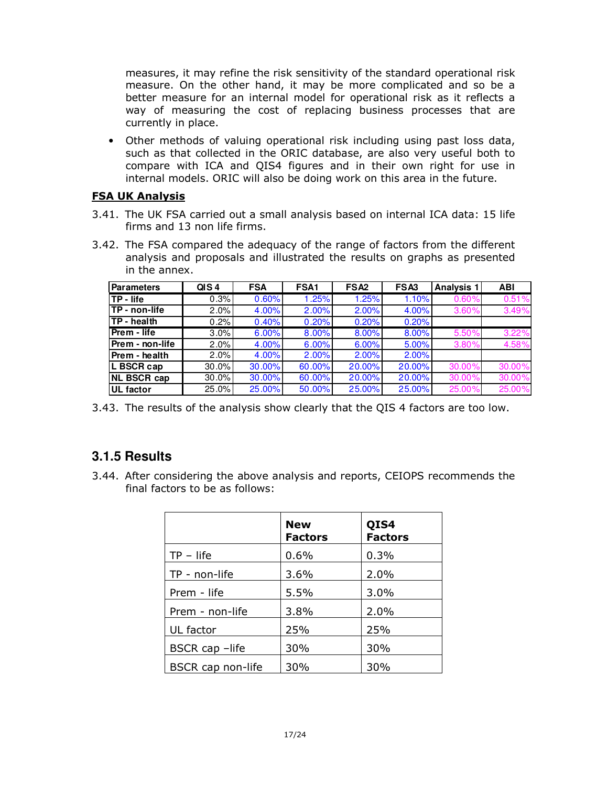measures, it may refine the risk sensitivity of the standard operational risk measure. On the other hand, it may be more complicated and so be a better measure for an internal model for operational risk as it reflects a way of measuring the cost of replacing business processes that are currently in place.

• Other methods of valuing operational risk including using past loss data, such as that collected in the ORIC database, are also very useful both to compare with ICA and QIS4 figures and in their own right for use in internal models. ORIC will also be doing work on this area in the future.

#### FSA UK Analysis

- 3.41. The UK FSA carried out a small analysis based on internal ICA data: 15 life firms and 13 non life firms.
- 3.42. The FSA compared the adequacy of the range of factors from the different analysis and proposals and illustrated the results on graphs as presented in the annex.

| <b>Parameters</b>     | QIS <sub>4</sub> | <b>FSA</b> | FSA <sub>1</sub> | FSA <sub>2</sub> | FSA <sub>3</sub> | <b>Analysis 1</b> | <b>ABI</b> |
|-----------------------|------------------|------------|------------------|------------------|------------------|-------------------|------------|
| <b>ITP - life</b>     | 0.3%             | 0.60%      | 1.25%            | 1.25%            | 1.10%            | 0.60%             | 0.51%      |
| <b>ITP - non-life</b> | 2.0%             | $4.00\%$   | 2.00%            | 2.00%            | 4.00%            | 3.60%             | 3.49%      |
| <b>TP</b> - health    | 0.2%             | 0.40%      | 0.20%            | 0.20%            | 0.20%            |                   |            |
| <b>Prem - life</b>    | 3.0%             | 6.00%      | 8.00%            | 8.00%            | 8.00%            | 5.50%             | 3.22%      |
| Prem - non-life       | 2.0%             | 4.00%      | 6.00%            | 6.00%            | 5.00%            | 3.80%             | 4.58%      |
| Prem - health         | 2.0%             | 4.00%      | 2.00%            | 2.00%            | 2.00%            |                   |            |
| L BSCR cap            | 30.0%            | 30.00%     | 60.00%           | 20.00%           | 20.00%           | 30.00%            | 30.00%     |
| <b>NL BSCR cap</b>    | 30.0%            | $30.00\%$  | 60.00%           | 20.00%           | 20.00%           | 30.00%            | 30.00%     |
| <b>UL</b> factor      | 25.0%            | 25.00%     | 50.00%           | 25.00%           | 25.00%           | 25.00%            | 25.00%     |

3.43. The results of the analysis show clearly that the QIS 4 factors are too low.

### **3.1.5 Results**

3.44. After considering the above analysis and reports, CEIOPS recommends the final factors to be as follows:

|                   | <b>New</b><br><b>Factors</b> | QIS4<br><b>Factors</b> |
|-------------------|------------------------------|------------------------|
| $TP - life$       | 0.6%                         | 0.3%                   |
| TP - non-life     | 3.6%                         | 2.0%                   |
| Prem - life       | 5.5%                         | 3.0%                   |
| Prem - non-life   | 3.8%                         | 2.0%                   |
| UL factor         | 25%                          | 25%                    |
| BSCR cap -life    | 30%                          | 30%                    |
| BSCR cap non-life | 30%                          | 30%                    |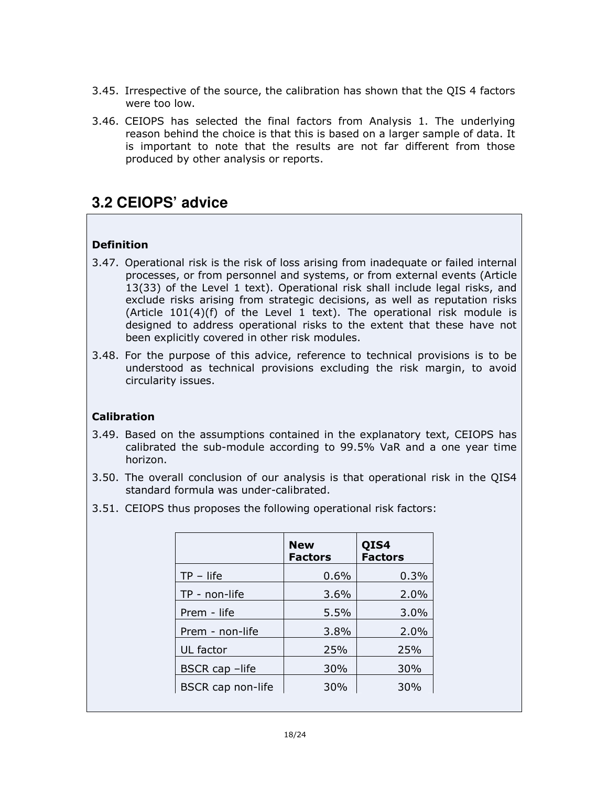- 3.45. Irrespective of the source, the calibration has shown that the QIS 4 factors were too low.
- 3.46. CEIOPS has selected the final factors from Analysis 1. The underlying reason behind the choice is that this is based on a larger sample of data. It is important to note that the results are not far different from those produced by other analysis or reports.

## **3.2 CEIOPS' advice**

### Definition

- 3.47. Operational risk is the risk of loss arising from inadequate or failed internal processes, or from personnel and systems, or from external events (Article 13(33) of the Level 1 text). Operational risk shall include legal risks, and exclude risks arising from strategic decisions, as well as reputation risks (Article  $101(4)(f)$  of the Level 1 text). The operational risk module is designed to address operational risks to the extent that these have not been explicitly covered in other risk modules.
- 3.48. For the purpose of this advice, reference to technical provisions is to be understood as technical provisions excluding the risk margin, to avoid circularity issues.

#### Calibration

- 3.49. Based on the assumptions contained in the explanatory text, CEIOPS has calibrated the sub-module according to 99.5% VaR and a one year time horizon.
- 3.50. The overall conclusion of our analysis is that operational risk in the QIS4 standard formula was under-calibrated.
- 3.51. CEIOPS thus proposes the following operational risk factors:

| <b>New</b><br><b>Factors</b> | QIS4<br><b>Factors</b> |
|------------------------------|------------------------|
| 0.6%                         | 0.3%                   |
| $3.6\%$                      | 2.0%                   |
| 5.5%                         | 3.0%                   |
| 3.8%                         | 2.0%                   |
| 25%                          | 25%                    |
| 30%                          | 30%                    |
| 30%                          | 30%                    |
|                              |                        |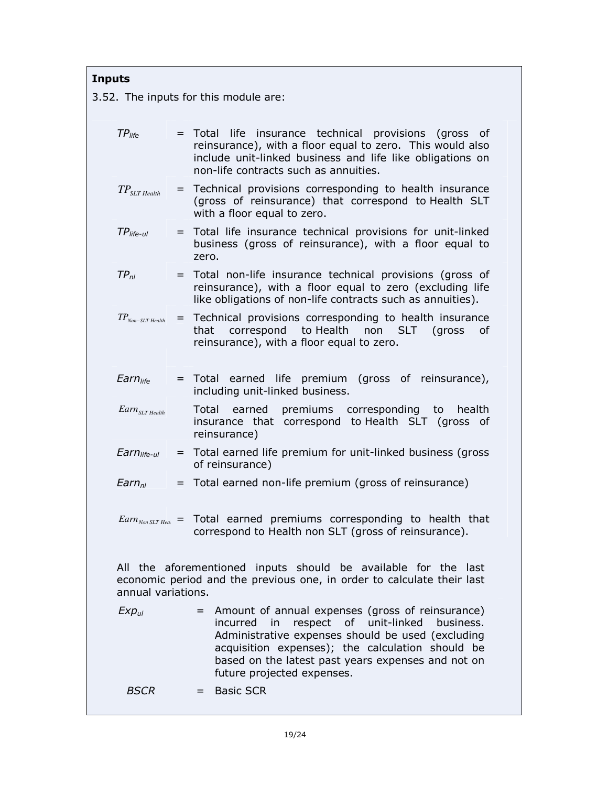| <b>Inputs</b>                                                                                                                                                  |                            |  |                                                                                                                                                                                                                                                                                                    |  |  |  |  |
|----------------------------------------------------------------------------------------------------------------------------------------------------------------|----------------------------|--|----------------------------------------------------------------------------------------------------------------------------------------------------------------------------------------------------------------------------------------------------------------------------------------------------|--|--|--|--|
| 3.52. The inputs for this module are:                                                                                                                          |                            |  |                                                                                                                                                                                                                                                                                                    |  |  |  |  |
| $TP_{life}$                                                                                                                                                    |                            |  | = Total life insurance technical provisions (gross of<br>reinsurance), with a floor equal to zero. This would also<br>include unit-linked business and life like obligations on<br>non-life contracts such as annuities.                                                                           |  |  |  |  |
|                                                                                                                                                                | $TP_{SLT\,Health}$         |  | = Technical provisions corresponding to health insurance<br>(gross of reinsurance) that correspond to Health SLT<br>with a floor equal to zero.                                                                                                                                                    |  |  |  |  |
|                                                                                                                                                                | $TP_{life-ul}$             |  | = Total life insurance technical provisions for unit-linked<br>business (gross of reinsurance), with a floor equal to<br>zero.                                                                                                                                                                     |  |  |  |  |
| $TP_{nl}$                                                                                                                                                      |                            |  | = Total non-life insurance technical provisions (gross of<br>reinsurance), with a floor equal to zero (excluding life<br>like obligations of non-life contracts such as annuities).                                                                                                                |  |  |  |  |
|                                                                                                                                                                | $TP_{Non-SLT}$ Health      |  | = Technical provisions corresponding to health insurance<br>correspond to Health<br>that<br>non SLT (gross<br>οf<br>reinsurance), with a floor equal to zero.                                                                                                                                      |  |  |  |  |
|                                                                                                                                                                | Earn <sub>life</sub>       |  | = Total earned life premium (gross of reinsurance),<br>including unit-linked business.                                                                                                                                                                                                             |  |  |  |  |
|                                                                                                                                                                | $Earn_{SLT\text{ Health}}$ |  | Total earned premiums corresponding to<br>health<br>insurance that correspond to Health SLT (gross of<br>reinsurance)                                                                                                                                                                              |  |  |  |  |
|                                                                                                                                                                | Earn <sub>life-ul</sub>    |  | = Total earned life premium for unit-linked business (gross<br>of reinsurance)                                                                                                                                                                                                                     |  |  |  |  |
|                                                                                                                                                                | $Earn_{nl}$                |  | = Total earned non-life premium (gross of reinsurance)                                                                                                                                                                                                                                             |  |  |  |  |
|                                                                                                                                                                |                            |  | $Earn_{NonSLT,Hea}$ = Total earned premiums corresponding to health that<br>correspond to Health non SLT (gross of reinsurance).                                                                                                                                                                   |  |  |  |  |
| All the aforementioned inputs should be available for the last<br>economic period and the previous one, in order to calculate their last<br>annual variations. |                            |  |                                                                                                                                                                                                                                                                                                    |  |  |  |  |
|                                                                                                                                                                | $Exp_{ul}$                 |  | = Amount of annual expenses (gross of reinsurance)<br>in respect of unit-linked business.<br>incurred<br>Administrative expenses should be used (excluding<br>acquisition expenses); the calculation should be<br>based on the latest past years expenses and not on<br>future projected expenses. |  |  |  |  |
|                                                                                                                                                                | <b>BSCR</b>                |  | = Basic SCR                                                                                                                                                                                                                                                                                        |  |  |  |  |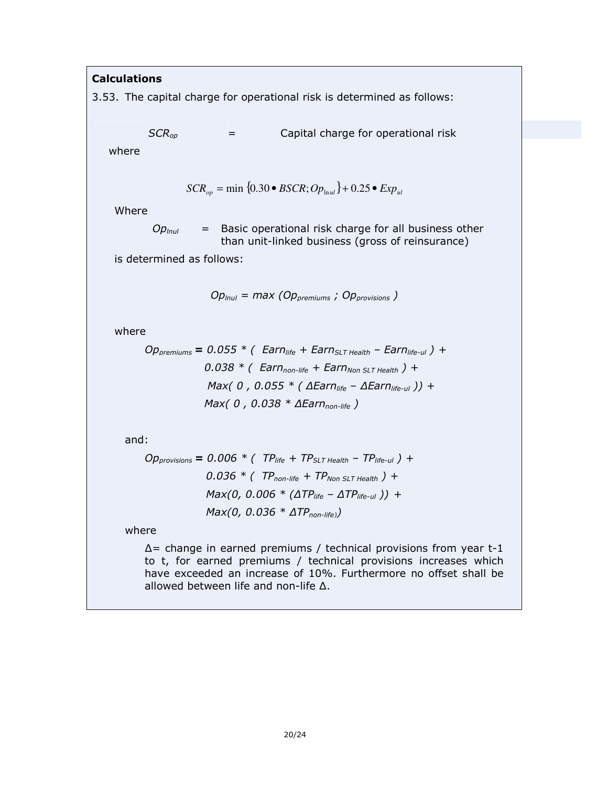#### **Calculations**

3.53. The capital charge for operational risk is determined as follows:

 $SCR_{op}$  = Capital charge for operational risk

where

$$
SCR_{op} = \min \{0.30 \bullet BSCR; Op_{\text{ln}ul}\} + 0.25 \bullet Exp_{ul}
$$

Where

 $Op_{lnul}$  = Basic operational risk charge for all business other than unit-linked business (gross of reinsurance)

is determined as follows:

 $Op_{lnul} = max (Op_{premiums} ; Op_{provisions})$ 

where

$$
Op_{premiums} = 0.055 * (Earnlife + EarnSLT Health - Earnlife-ul) +0.038 * (Earnnon-life + EarnNon SLT Health) +Max( 0 , 0.055 * (AEarnlife - AEarnlife-ul )) +Max( 0 , 0.038 * AEarnnon-life )
$$

and:

$$
Opprovisions = 0.006 * (TPlife + TPSLT Health - TPlife-ul) +0.036 * (TPnon-life + TPNon SLT Health) +Max(0, 0.006 * (ATPlife - ATPlife-ul)) +Max(0, 0.036 * ATPnon-life)
$$

where

∆= change in earned premiums / technical provisions from year t-1 to t, for earned premiums / technical provisions increases which have exceeded an increase of 10%. Furthermore no offset shall be allowed between life and non-life ∆.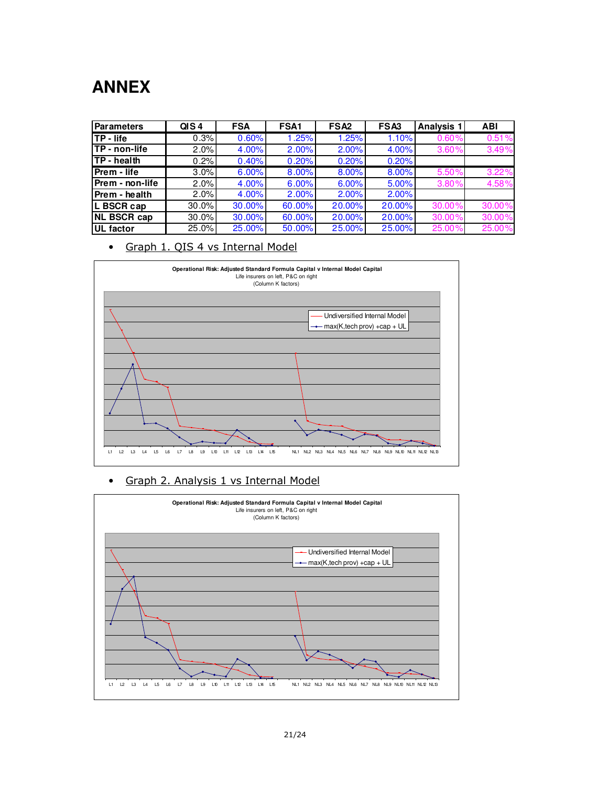# **ANNEX**

| Parameters            | QIS <sub>4</sub> | <b>FSA</b> | FSA <sub>1</sub> | FSA <sub>2</sub> | FSA3   | <b>Analysis 1</b> | <b>ABI</b> |
|-----------------------|------------------|------------|------------------|------------------|--------|-------------------|------------|
| ITP - life            | 0.3%             | 0.60%      | 1.25%            | 1.25%            | 1.10%  | 0.60%             | 0.51%      |
| <b>ITP - non-life</b> | 2.0%             | 4.00%      | 2.00%            | 2.00%            | 4.00%  | 3.60%             | 3.49%      |
| <b>ITP</b> - health   | 0.2%             | 0.40%      | 0.20%            | 0.20%            | 0.20%  |                   |            |
| Prem - life           | 3.0%             | 6.00%      | 8.00%            | 8.00%            | 8.00%  | 5.50%             | 3.22%      |
| Prem - non-life       | 2.0%             | 4.00%      | 6.00%            | 6.00%            | 5.00%  | 3.80%             | 4.58%      |
| Prem - health         | 2.0%             | 4.00%      | 2.00%            | 2.00%            | 2.00%  |                   |            |
| L BSCR cap            | 30.0%            | 30.00%     | 60.00%           | 20.00%           | 20.00% | 30.00%            | 30.00%     |
| <b>NL BSCR cap</b>    | 30.0%            | 30.00%     | 60.00%           | 20.00%           | 20.00% | 30.00%            | 30.00%     |
| UL factor             | 25.0%            | 25.00%     | 50.00%           | 25.00%           | 25.00% | 25.00%            | 25.00%     |

• Graph 1. QIS 4 vs Internal Model



#### • Graph 2. Analysis 1 vs Internal Model

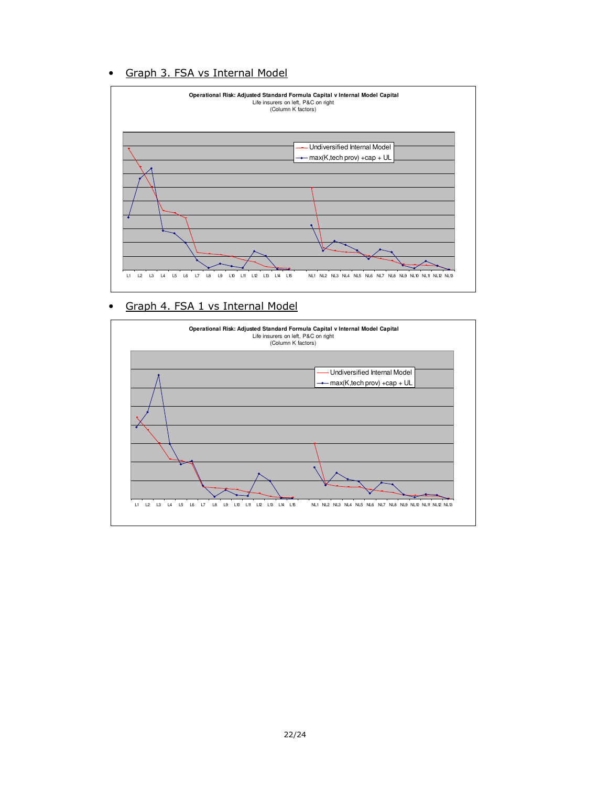### • Graph 3. FSA vs Internal Model



#### • Graph 4. FSA 1 vs Internal Model

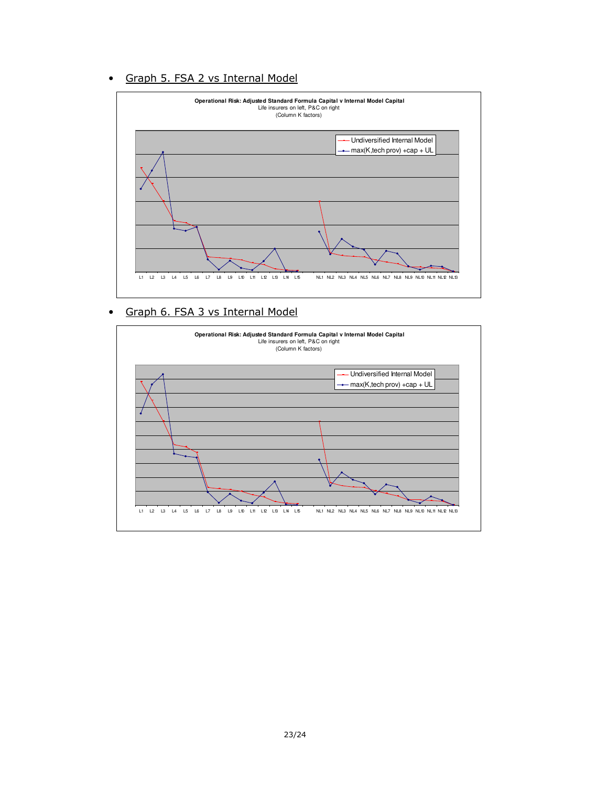### • Graph 5. FSA 2 vs Internal Model



#### • Graph 6. FSA 3 vs Internal Model